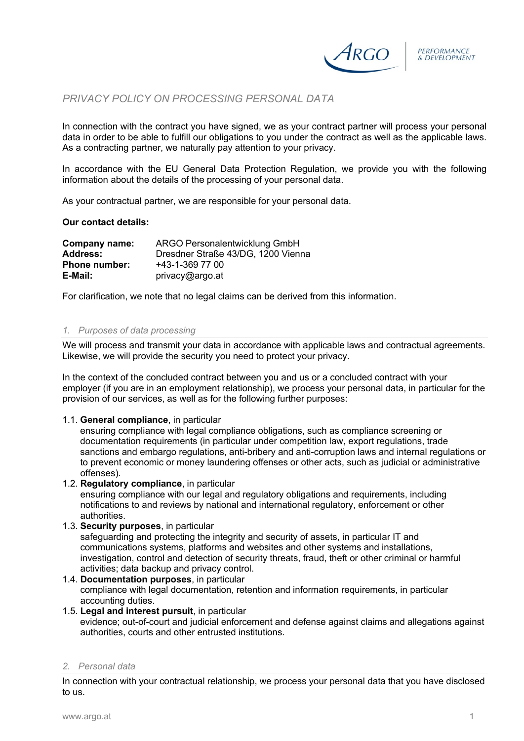

# *PRIVACY POLICY ON PROCESSING PERSONAL DATA*

In connection with the contract you have signed, we as your contract partner will process your personal data in order to be able to fulfill our obligations to you under the contract as well as the applicable laws. As a contracting partner, we naturally pay attention to your privacy.

In accordance with the EU General Data Protection Regulation, we provide you with the following information about the details of the processing of your personal data.

As your contractual partner, we are responsible for your personal data.

# **Our contact details:**

| Company name:        | ARGO Personalentwicklung GmbH      |
|----------------------|------------------------------------|
| Address:             | Dresdner Straße 43/DG, 1200 Vienna |
| <b>Phone number:</b> | +43-1-369 77 00                    |
| E-Mail:              | privacy@argo.at                    |

For clarification, we note that no legal claims can be derived from this information.

# *1. Purposes of data processing*

We will process and transmit your data in accordance with applicable laws and contractual agreements. Likewise, we will provide the security you need to protect your privacy.

In the context of the concluded contract between you and us or a concluded contract with your employer (if you are in an employment relationship), we process your personal data, in particular for the provision of our services, as well as for the following further purposes:

## 1.1. **General compliance**, in particular

ensuring compliance with legal compliance obligations, such as compliance screening or documentation requirements (in particular under competition law, export regulations, trade sanctions and embargo regulations, anti-bribery and anti-corruption laws and internal regulations or to prevent economic or money laundering offenses or other acts, such as judicial or administrative offenses).

## 1.2. **Regulatory compliance**, in particular

ensuring compliance with our legal and regulatory obligations and requirements, including notifications to and reviews by national and international regulatory, enforcement or other authorities.

# 1.3. **Security purposes**, in particular

safeguarding and protecting the integrity and security of assets, in particular IT and communications systems, platforms and websites and other systems and installations, investigation, control and detection of security threats, fraud, theft or other criminal or harmful activities; data backup and privacy control.

1.4. **Documentation purposes**, in particular compliance with legal documentation, retention and information requirements, in particular accounting duties.

# 1.5. **Legal and interest pursuit**, in particular

evidence; out-of-court and judicial enforcement and defense against claims and allegations against authorities, courts and other entrusted institutions.

## *2. Personal data*

In connection with your contractual relationship, we process your personal data that you have disclosed to us.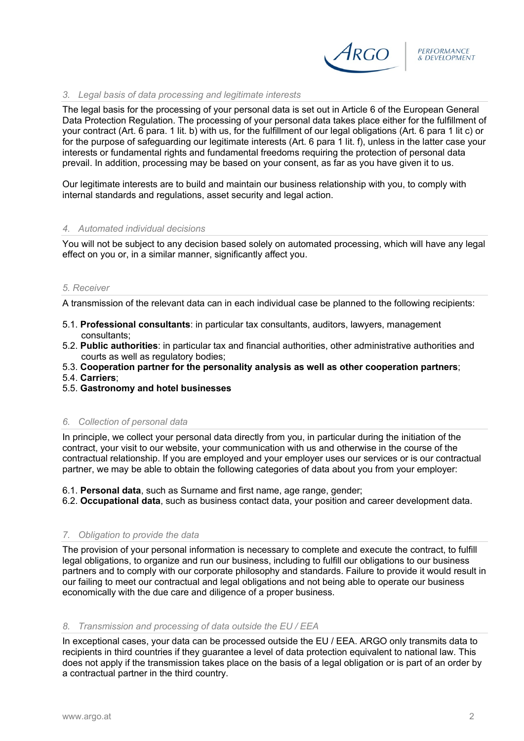

# *3. Legal basis of data processing and legitimate interests*

The legal basis for the processing of your personal data is set out in Article 6 of the European General Data Protection Regulation. The processing of your personal data takes place either for the fulfillment of your contract (Art. 6 para. 1 lit. b) with us, for the fulfillment of our legal obligations (Art. 6 para 1 lit c) or for the purpose of safeguarding our legitimate interests (Art. 6 para 1 lit. f), unless in the latter case your interests or fundamental rights and fundamental freedoms requiring the protection of personal data prevail. In addition, processing may be based on your consent, as far as you have given it to us.

Our legitimate interests are to build and maintain our business relationship with you, to comply with internal standards and regulations, asset security and legal action.

# *4. Automated individual decisions*

You will not be subject to any decision based solely on automated processing, which will have any legal effect on you or, in a similar manner, significantly affect you.

## *5. Receiver*

A transmission of the relevant data can in each individual case be planned to the following recipients:

- 5.1. **Professional consultants**: in particular tax consultants, auditors, lawyers, management consultants;
- 5.2. **Public authorities**: in particular tax and financial authorities, other administrative authorities and courts as well as regulatory bodies;
- 5.3. **Cooperation partner for the personality analysis as well as other cooperation partners**;
- 5.4. **Carriers**;
- 5.5. **Gastronomy and hotel businesses**

## *6. Collection of personal data*

In principle, we collect your personal data directly from you, in particular during the initiation of the contract, your visit to our website, your communication with us and otherwise in the course of the contractual relationship. If you are employed and your employer uses our services or is our contractual partner, we may be able to obtain the following categories of data about you from your employer:

6.1. **Personal data**, such as Surname and first name, age range, gender;

6.2. **Occupational data**, such as business contact data, your position and career development data.

# *7. Obligation to provide the data*

The provision of your personal information is necessary to complete and execute the contract, to fulfill legal obligations, to organize and run our business, including to fulfill our obligations to our business partners and to comply with our corporate philosophy and standards. Failure to provide it would result in our failing to meet our contractual and legal obligations and not being able to operate our business economically with the due care and diligence of a proper business.

## *8. Transmission and processing of data outside the EU / EEA*

In exceptional cases, your data can be processed outside the EU / EEA. ARGO only transmits data to recipients in third countries if they guarantee a level of data protection equivalent to national law. This does not apply if the transmission takes place on the basis of a legal obligation or is part of an order by a contractual partner in the third country.